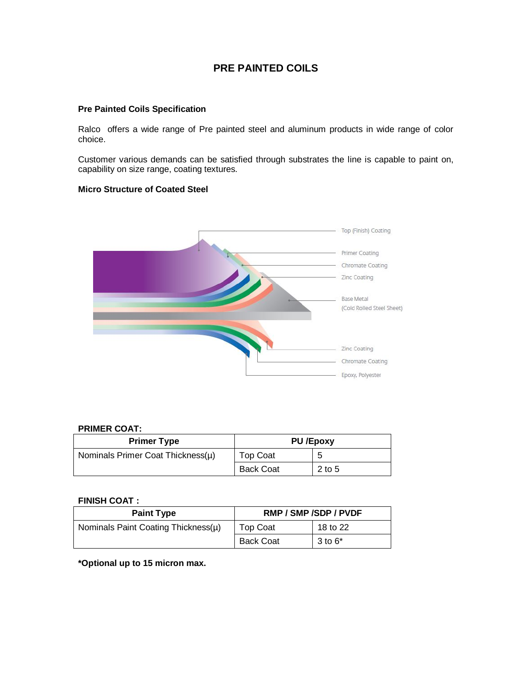# **PRE PAINTED COILS**

### **Pre Painted Coils Specification**

Ralco offers a wide range of Pre painted steel and aluminum products in wide range of color choice.

Customer various demands can be satisfied through substrates the line is capable to paint on, capability on size range, coating textures.

### **Micro Structure of Coated Steel**



### **PRIMER COAT:**

| <b>Primer Type</b>                | <b>PU /Epoxy</b> |        |  |
|-----------------------------------|------------------|--------|--|
| Nominals Primer Coat Thickness(µ) | <b>Top Coat</b>  | 5      |  |
|                                   | <b>Back Coat</b> | 2 to 5 |  |

#### **FINISH COAT :**

| <b>Paint Type</b>                   | RMP / SMP / SDP / PVDF |              |  |
|-------------------------------------|------------------------|--------------|--|
| Nominals Paint Coating Thickness(µ) | <b>Top Coat</b>        | 18 to 22     |  |
|                                     | <b>Back Coat</b>       | $3$ to $6^*$ |  |

**\*Optional up to 15 micron max.**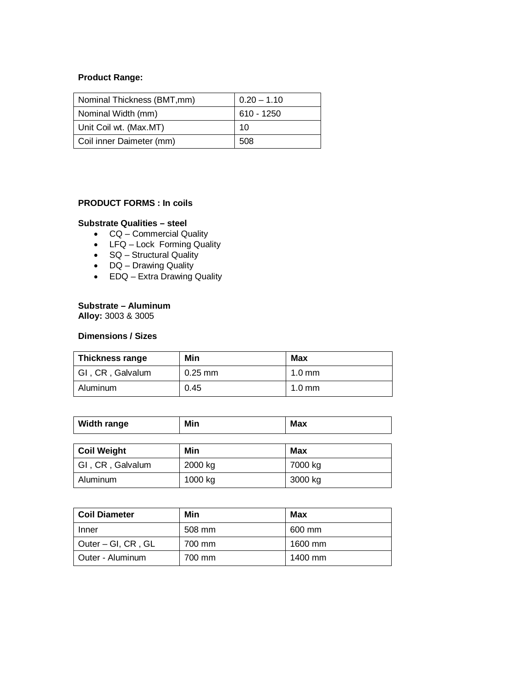# **Product Range:**

| Nominal Thickness (BMT, mm) | $0.20 - 1.10$ |
|-----------------------------|---------------|
| Nominal Width (mm)          | 610 - 1250    |
| Unit Coil wt. (Max.MT)      | 10            |
| Coil inner Daimeter (mm)    | 508           |

# **PRODUCT FORMS : In coils**

### **Substrate Qualities – steel**

- CQ Commercial Quality
- LFQ Lock Forming Quality
- SQ Structural Quality
- DQ Drawing Quality
- EDQ Extra Drawing Quality

### **Substrate – Aluminum**

**Alloy:** 3003 & 3005

### **Dimensions / Sizes**

| <b>Thickness range</b> | Min       | <b>Max</b>       |
|------------------------|-----------|------------------|
| GI, CR, Galvalum       | $0.25$ mm | $1.0 \text{ mm}$ |
| Aluminum               | 0.45      | $1.0 \text{ mm}$ |

| <b>Width range</b> | Min     | <b>Max</b> |  |
|--------------------|---------|------------|--|
| <b>Coil Weight</b> | Min     | <b>Max</b> |  |
| GI, CR, Galvalum   | 2000 kg | 7000 kg    |  |
| Aluminum           | 1000 kg | 3000 kg    |  |

| <b>Coil Diameter</b> | Min    | Max     |
|----------------------|--------|---------|
| Inner                | 508 mm | 600 mm  |
| Outer – GI, CR, GL   | 700 mm | 1600 mm |
| Outer - Aluminum     | 700 mm | 1400 mm |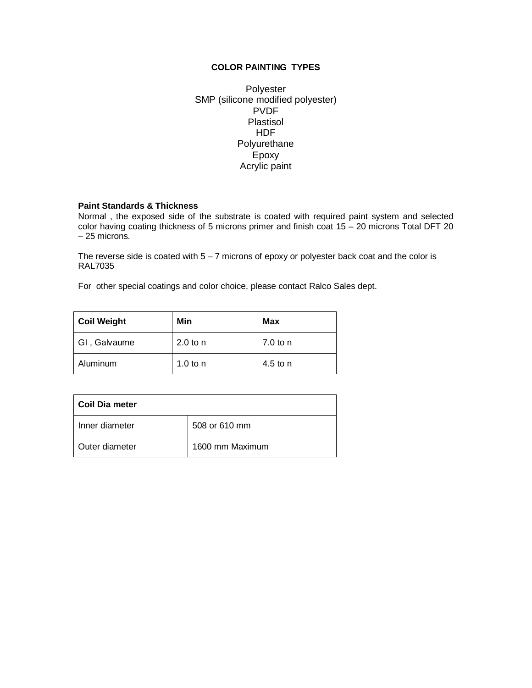## **COLOR PAINTING TYPES**

Polyester SMP (silicone modified polyester) PVDF Plastisol HDF Polyurethane Epoxy Acrylic paint

### **Paint Standards & Thickness**

Normal , the exposed side of the substrate is coated with required paint system and selected color having coating thickness of 5 microns primer and finish coat 15 – 20 microns Total DFT 20 – 25 microns.

The reverse side is coated with  $5 - 7$  microns of epoxy or polyester back coat and the color is RAL7035

For other special coatings and color choice, please contact Ralco Sales dept.

| <b>Coil Weight</b> | Min        | Max      |  |
|--------------------|------------|----------|--|
| GI, Galvaume       | $2.0$ to n | 7.0 to n |  |
| Aluminum           | 1.0 to $n$ | 4.5 to n |  |

| Coil Dia meter |                 |
|----------------|-----------------|
| Inner diameter | 508 or 610 mm   |
| Outer diameter | 1600 mm Maximum |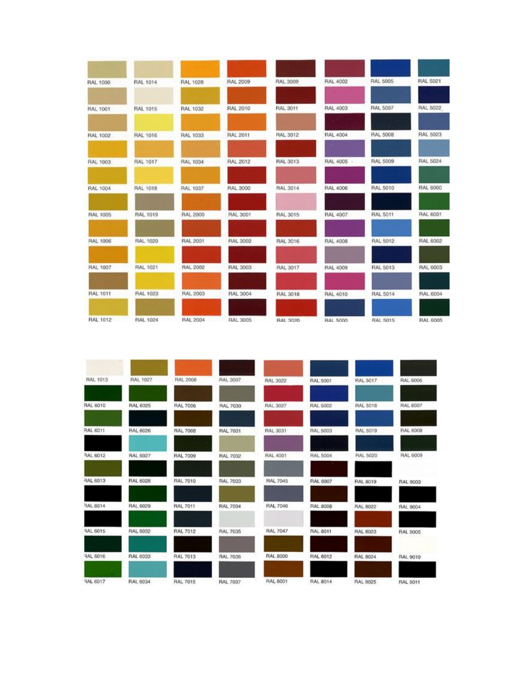

| <b>RAL 1013</b> | <b>RAL 1027</b> | <b>RAL 2008</b> | RAL 3007        | <b>RAL 3022</b> | <b>RAL 5001</b> | RAL 5017        | <b>RAL 6006</b> |
|-----------------|-----------------|-----------------|-----------------|-----------------|-----------------|-----------------|-----------------|
|                 |                 |                 |                 |                 |                 |                 |                 |
| <b>RAL 6010</b> | <b>RAL 6025</b> | <b>RAL 7006</b> | RAL 7030        | RAL 3027        | <b>RAL 5002</b> | RAL 5018        | RAL 6007        |
| <b>RAL 6011</b> | <b>RAL 6026</b> | <b>RAL 7008</b> | <b>RAL 7031</b> | <b>FAL 3031</b> | <b>RAL 5003</b> | RAL 5019        | RAL 6008        |
| RAL 6012        | RAL 6027        | <b>RAL 7009</b> | <b>RAL 7032</b> | <b>RAL 4001</b> | <b>RAL 5004</b> | RAL 5020        | RAL 6009        |
| RAL 6013        | <b>RAL 6028</b> | <b>RAL 7010</b> | <b>RAL 7033</b> | <b>RAL 7045</b> | RAL 8007        | <b>RAL 8019</b> | <b>RAL 9003</b> |
| RAL 6014        | <b>RAL 6029</b> | <b>RAL 7011</b> | <b>RAL 7034</b> | <b>RAL 7046</b> | <b>RAL 8008</b> | <b>RAL 8022</b> | <b>RAL 9004</b> |
| <b>RAL 6015</b> | RAL 6032        | <b>RAL 7012</b> | <b>RAL 7035</b> | <b>RAL 7047</b> | <b>RAL 6011</b> | <b>RAL 8023</b> | RAL 9005        |
| RAL 6016        | RAL 6033        | <b>RAL 7013</b> | <b>RAL 7036</b> | <b>RAL 8000</b> | <b>RAL 8012</b> | RAL 8024        | RAL 9010        |
| RAL 6017        | RAL 6034        | <b>RAL 7015</b> | <b>RAL 7037</b> | RAL 8001        | RAL 8014        | <b>RAL 8025</b> | RAL 9011        |